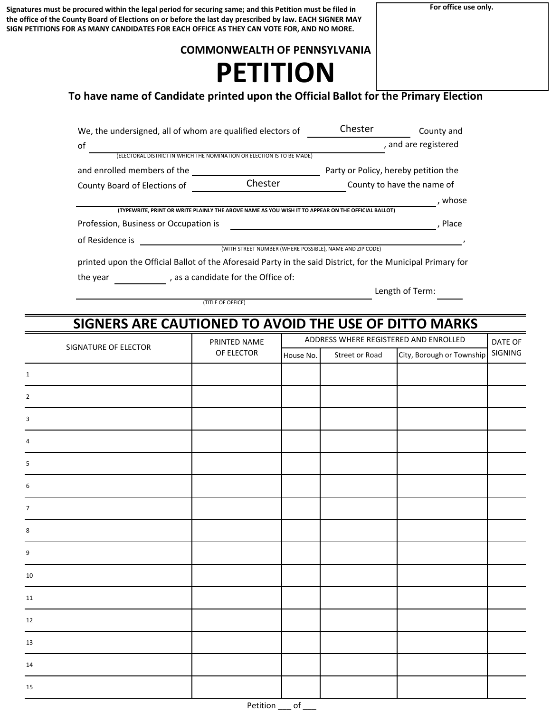**For office use only.**

**Signatures must be procured within the legal period for securing same; and this Petition must be filed in the office of the County Board of Elections on or before the last day prescribed by law. EACH SIGNER MAY SIGN PETITIONS FOR AS MANY CANDIDATES FOR EACH OFFICE AS THEY CAN VOTE FOR, AND NO MORE.**

## **COMMONWEALTH OF PENNSYLVANIA**

# **PETITION**

# **To have name of Candidate printed upon the Official Ballot for the Primary Election**

| We, the undersigned, all of whom are qualified electors of                                                  |                                                                                                                | Chester                              | County and                 |
|-------------------------------------------------------------------------------------------------------------|----------------------------------------------------------------------------------------------------------------|--------------------------------------|----------------------------|
| of                                                                                                          |                                                                                                                |                                      | , and are registered       |
|                                                                                                             | (ELECTORAL DISTRICT IN WHICH THE NOMINATION OR ELECTION IS TO BE MADE)                                         |                                      |                            |
| and enrolled members of the                                                                                 |                                                                                                                | Party or Policy, hereby petition the |                            |
| County Board of Elections of                                                                                | Chester                                                                                                        |                                      | County to have the name of |
|                                                                                                             |                                                                                                                |                                      | , whose                    |
|                                                                                                             | (TYPEWRITE, PRINT OR WRITE PLAINLY THE ABOVE NAME AS YOU WISH IT TO APPEAR ON THE OFFICIAL BALLOT)             |                                      |                            |
| Profession, Business or Occupation is                                                                       |                                                                                                                |                                      | . Place                    |
| of Residence is                                                                                             |                                                                                                                |                                      |                            |
|                                                                                                             | (WITH STREET NUMBER (WHERE POSSIBLE), NAME AND ZIP CODE)                                                       |                                      |                            |
| printed upon the Official Ballot of the Aforesaid Party in the said District, for the Municipal Primary for |                                                                                                                |                                      |                            |
|                                                                                                             | and the control of the control of the control of the control of the control of the control of the control of t |                                      |                            |

the year  $\frac{1}{\sqrt{1-\frac{1}{\sqrt{1-\frac{1}{\sqrt{1-\frac{1}{\sqrt{1-\frac{1}{\sqrt{1-\frac{1}{\sqrt{1-\frac{1}{\sqrt{1-\frac{1}{\sqrt{1-\frac{1}{\sqrt{1-\frac{1}{\sqrt{1-\frac{1}{\sqrt{1-\frac{1}{\sqrt{1-\frac{1}{\sqrt{1-\frac{1}{\sqrt{1-\frac{1}{\sqrt{1-\frac{1}{\sqrt{1-\frac{1}{\sqrt{1-\frac{1}{\sqrt{1-\frac{1}{\sqrt{1-\frac{1}{\sqrt{1-\frac{1}{\sqrt{1-\frac{1}{\sqrt{1-\frac{1}{\sqrt{1-\frac{1}{$ 

(TITLE OF OFFICE)

Length of Term:

# **SIGNERS ARE CAUTIONED TO AVOID THE USE OF DITTO MARKS**

| SIGNATURE OF ELECTOR | PRINTED NAME                |           |                | ADDRESS WHERE REGISTERED AND ENROLLED | DATE OF |
|----------------------|-----------------------------|-----------|----------------|---------------------------------------|---------|
|                      | OF ELECTOR                  | House No. | Street or Road | City, Borough or Township             | SIGNING |
| $\mathbf{1}$         |                             |           |                |                                       |         |
| $\overline{2}$       |                             |           |                |                                       |         |
| 3                    |                             |           |                |                                       |         |
| 4                    |                             |           |                |                                       |         |
| $\sf 5$              |                             |           |                |                                       |         |
| 6                    |                             |           |                |                                       |         |
| $\overline{7}$       |                             |           |                |                                       |         |
| 8                    |                             |           |                |                                       |         |
| 9                    |                             |           |                |                                       |         |
| 10                   |                             |           |                |                                       |         |
| 11                   |                             |           |                |                                       |         |
| 12                   |                             |           |                |                                       |         |
| 13                   |                             |           |                |                                       |         |
| 14                   |                             |           |                |                                       |         |
| 15                   |                             |           |                |                                       |         |
|                      | $\sim$ $\sim$ $\sim$ $\sim$ | $\sim$    |                |                                       |         |